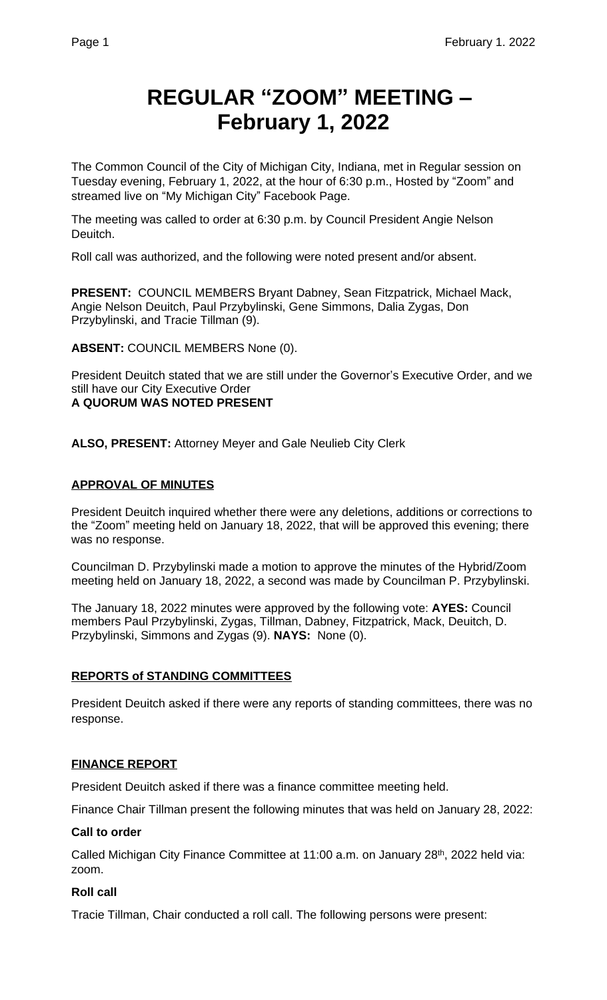# **REGULAR "ZOOM" MEETING – February 1, 2022**

The Common Council of the City of Michigan City, Indiana, met in Regular session on Tuesday evening, February 1, 2022, at the hour of 6:30 p.m., Hosted by "Zoom" and streamed live on "My Michigan City" Facebook Page.

The meeting was called to order at 6:30 p.m. by Council President Angie Nelson Deuitch.

Roll call was authorized, and the following were noted present and/or absent.

**PRESENT:** COUNCIL MEMBERS Bryant Dabney, Sean Fitzpatrick, Michael Mack, Angie Nelson Deuitch, Paul Przybylinski, Gene Simmons, Dalia Zygas, Don Przybylinski, and Tracie Tillman (9).

**ABSENT:** COUNCIL MEMBERS None (0).

President Deuitch stated that we are still under the Governor's Executive Order, and we still have our City Executive Order **A QUORUM WAS NOTED PRESENT**

**ALSO, PRESENT:** Attorney Meyer and Gale Neulieb City Clerk

## **APPROVAL OF MINUTES**

President Deuitch inquired whether there were any deletions, additions or corrections to the "Zoom" meeting held on January 18, 2022, that will be approved this evening; there was no response.

Councilman D. Przybylinski made a motion to approve the minutes of the Hybrid/Zoom meeting held on January 18, 2022, a second was made by Councilman P. Przybylinski.

The January 18, 2022 minutes were approved by the following vote: **AYES:** Council members Paul Przybylinski, Zygas, Tillman, Dabney, Fitzpatrick, Mack, Deuitch, D. Przybylinski, Simmons and Zygas (9). **NAYS:** None (0).

#### **REPORTS of STANDING COMMITTEES**

President Deuitch asked if there were any reports of standing committees, there was no response.

#### **FINANCE REPORT**

President Deuitch asked if there was a finance committee meeting held.

Finance Chair Tillman present the following minutes that was held on January 28, 2022:

#### **Call to order**

Called Michigan City Finance Committee at 11:00 a.m. on January 28<sup>th</sup>, 2022 held via: zoom.

#### **Roll call**

Tracie Tillman, Chair conducted a roll call. The following persons were present: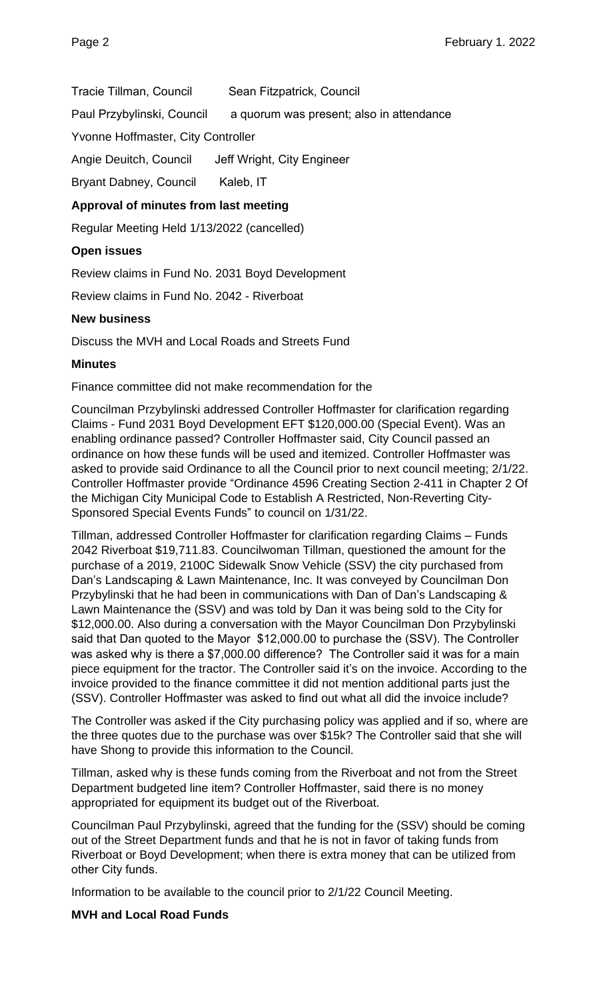Tracie Tillman, Council Sean Fitzpatrick, Council

Paul Przybylinski, Council a quorum was present; also in attendance

Yvonne Hoffmaster, City Controller

Angie Deuitch, Council Jeff Wright, City Engineer

Bryant Dabney, Council Kaleb, IT

# **Approval of minutes from last meeting**

Regular Meeting Held 1/13/2022 (cancelled)

## **Open issues**

Review claims in Fund No. 2031 Boyd Development

Review claims in Fund No. 2042 - Riverboat

## **New business**

Discuss the MVH and Local Roads and Streets Fund

## **Minutes**

Finance committee did not make recommendation for the

Councilman Przybylinski addressed Controller Hoffmaster for clarification regarding Claims - Fund 2031 Boyd Development EFT \$120,000.00 (Special Event). Was an enabling ordinance passed? Controller Hoffmaster said, City Council passed an ordinance on how these funds will be used and itemized. Controller Hoffmaster was asked to provide said Ordinance to all the Council prior to next council meeting; 2/1/22. Controller Hoffmaster provide "Ordinance 4596 Creating Section 2-411 in Chapter 2 Of the Michigan City Municipal Code to Establish A Restricted, Non-Reverting City-Sponsored Special Events Funds" to council on 1/31/22.

Tillman, addressed Controller Hoffmaster for clarification regarding Claims – Funds 2042 Riverboat \$19,711.83. Councilwoman Tillman, questioned the amount for the purchase of a 2019, 2100C Sidewalk Snow Vehicle (SSV) the city purchased from Dan's Landscaping & Lawn Maintenance, Inc. It was conveyed by Councilman Don Przybylinski that he had been in communications with Dan of Dan's Landscaping & Lawn Maintenance the (SSV) and was told by Dan it was being sold to the City for \$12,000.00. Also during a conversation with the Mayor Councilman Don Przybylinski said that Dan quoted to the Mayor \$12,000.00 to purchase the (SSV). The Controller was asked why is there a \$7,000.00 difference? The Controller said it was for a main piece equipment for the tractor. The Controller said it's on the invoice. According to the invoice provided to the finance committee it did not mention additional parts just the (SSV). Controller Hoffmaster was asked to find out what all did the invoice include?

The Controller was asked if the City purchasing policy was applied and if so, where are the three quotes due to the purchase was over \$15k? The Controller said that she will have Shong to provide this information to the Council.

Tillman, asked why is these funds coming from the Riverboat and not from the Street Department budgeted line item? Controller Hoffmaster, said there is no money appropriated for equipment its budget out of the Riverboat.

Councilman Paul Przybylinski, agreed that the funding for the (SSV) should be coming out of the Street Department funds and that he is not in favor of taking funds from Riverboat or Boyd Development; when there is extra money that can be utilized from other City funds.

Information to be available to the council prior to 2/1/22 Council Meeting.

## **MVH and Local Road Funds**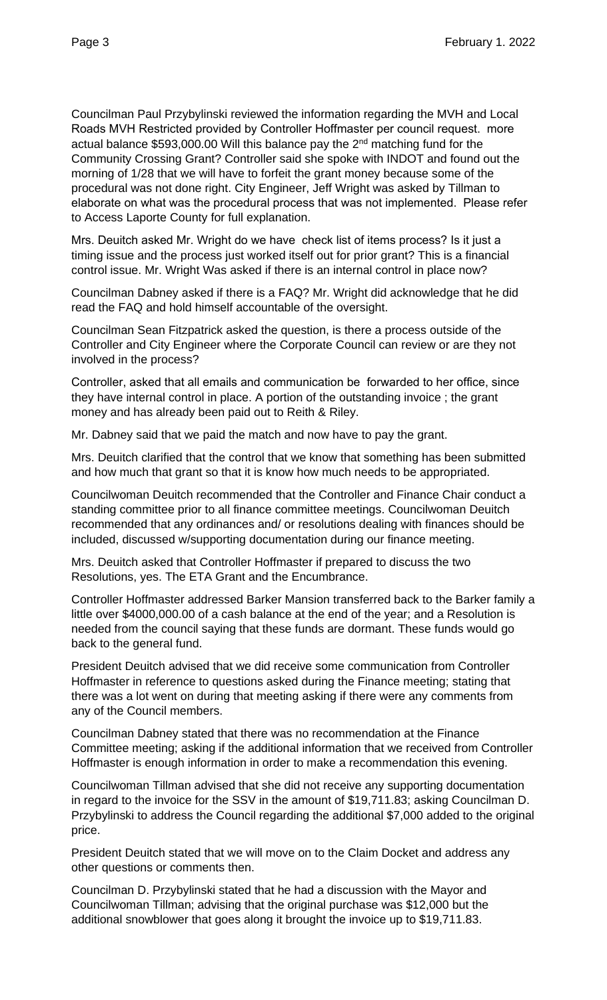Councilman Paul Przybylinski reviewed the information regarding the MVH and Local Roads MVH Restricted provided by Controller Hoffmaster per council request. more actual balance \$593,000.00 Will this balance pay the 2nd matching fund for the Community Crossing Grant? Controller said she spoke with INDOT and found out the morning of 1/28 that we will have to forfeit the grant money because some of the procedural was not done right. City Engineer, Jeff Wright was asked by Tillman to elaborate on what was the procedural process that was not implemented. Please refer to Access Laporte County for full explanation.

Mrs. Deuitch asked Mr. Wright do we have check list of items process? Is it just a timing issue and the process just worked itself out for prior grant? This is a financial control issue. Mr. Wright Was asked if there is an internal control in place now?

Councilman Dabney asked if there is a FAQ? Mr. Wright did acknowledge that he did read the FAQ and hold himself accountable of the oversight.

Councilman Sean Fitzpatrick asked the question, is there a process outside of the Controller and City Engineer where the Corporate Council can review or are they not involved in the process?

Controller, asked that all emails and communication be forwarded to her office, since they have internal control in place. A portion of the outstanding invoice ; the grant money and has already been paid out to Reith & Riley.

Mr. Dabney said that we paid the match and now have to pay the grant.

Mrs. Deuitch clarified that the control that we know that something has been submitted and how much that grant so that it is know how much needs to be appropriated.

Councilwoman Deuitch recommended that the Controller and Finance Chair conduct a standing committee prior to all finance committee meetings. Councilwoman Deuitch recommended that any ordinances and/ or resolutions dealing with finances should be included, discussed w/supporting documentation during our finance meeting.

Mrs. Deuitch asked that Controller Hoffmaster if prepared to discuss the two Resolutions, yes. The ETA Grant and the Encumbrance.

Controller Hoffmaster addressed Barker Mansion transferred back to the Barker family a little over \$4000,000.00 of a cash balance at the end of the year; and a Resolution is needed from the council saying that these funds are dormant. These funds would go back to the general fund.

President Deuitch advised that we did receive some communication from Controller Hoffmaster in reference to questions asked during the Finance meeting; stating that there was a lot went on during that meeting asking if there were any comments from any of the Council members.

Councilman Dabney stated that there was no recommendation at the Finance Committee meeting; asking if the additional information that we received from Controller Hoffmaster is enough information in order to make a recommendation this evening.

Councilwoman Tillman advised that she did not receive any supporting documentation in regard to the invoice for the SSV in the amount of \$19,711.83; asking Councilman D. Przybylinski to address the Council regarding the additional \$7,000 added to the original price.

President Deuitch stated that we will move on to the Claim Docket and address any other questions or comments then.

Councilman D. Przybylinski stated that he had a discussion with the Mayor and Councilwoman Tillman; advising that the original purchase was \$12,000 but the additional snowblower that goes along it brought the invoice up to \$19,711.83.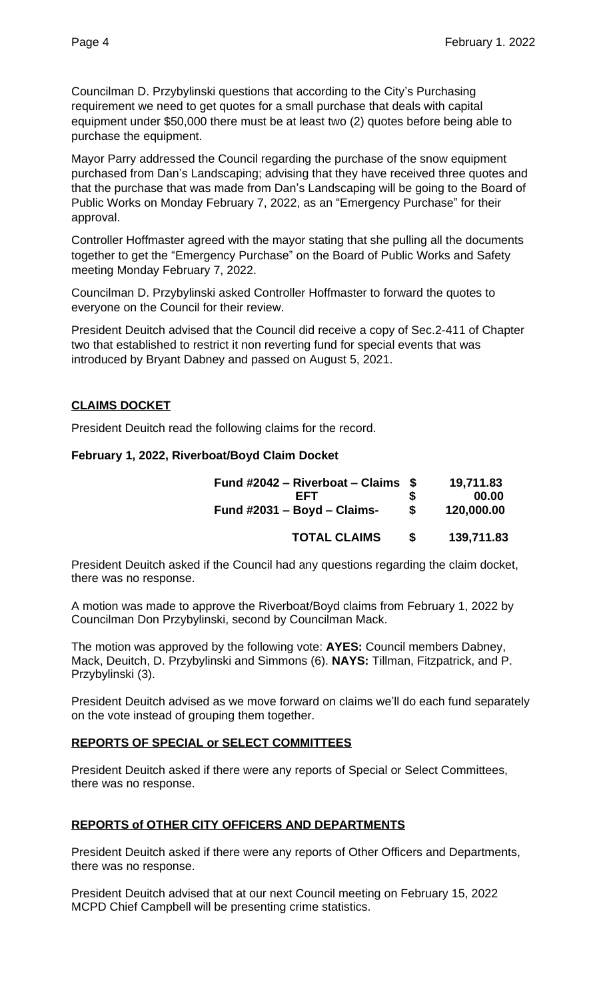Councilman D. Przybylinski questions that according to the City's Purchasing requirement we need to get quotes for a small purchase that deals with capital equipment under \$50,000 there must be at least two (2) quotes before being able to purchase the equipment.

Mayor Parry addressed the Council regarding the purchase of the snow equipment purchased from Dan's Landscaping; advising that they have received three quotes and that the purchase that was made from Dan's Landscaping will be going to the Board of Public Works on Monday February 7, 2022, as an "Emergency Purchase" for their approval.

Controller Hoffmaster agreed with the mayor stating that she pulling all the documents together to get the "Emergency Purchase" on the Board of Public Works and Safety meeting Monday February 7, 2022.

Councilman D. Przybylinski asked Controller Hoffmaster to forward the quotes to everyone on the Council for their review.

President Deuitch advised that the Council did receive a copy of Sec.2-411 of Chapter two that established to restrict it non reverting fund for special events that was introduced by Bryant Dabney and passed on August 5, 2021.

# **CLAIMS DOCKET**

President Deuitch read the following claims for the record.

## **February 1, 2022, Riverboat/Boyd Claim Docket**

| Fund #2042 – Riverboat – Claims $$$<br>FFT<br>Fund $\#2031 - Boyd - Claims$ - | S<br>\$ | 19,711.83<br>00.00<br>120,000.00 |
|-------------------------------------------------------------------------------|---------|----------------------------------|
| <b>TOTAL CLAIMS</b>                                                           | S       | 139,711.83                       |

President Deuitch asked if the Council had any questions regarding the claim docket, there was no response.

A motion was made to approve the Riverboat/Boyd claims from February 1, 2022 by Councilman Don Przybylinski, second by Councilman Mack.

The motion was approved by the following vote: **AYES:** Council members Dabney, Mack, Deuitch, D. Przybylinski and Simmons (6). **NAYS:** Tillman, Fitzpatrick, and P. Przybylinski (3).

President Deuitch advised as we move forward on claims we'll do each fund separately on the vote instead of grouping them together.

# **REPORTS OF SPECIAL or SELECT COMMITTEES**

President Deuitch asked if there were any reports of Special or Select Committees, there was no response.

# **REPORTS of OTHER CITY OFFICERS AND DEPARTMENTS**

President Deuitch asked if there were any reports of Other Officers and Departments, there was no response.

President Deuitch advised that at our next Council meeting on February 15, 2022 MCPD Chief Campbell will be presenting crime statistics.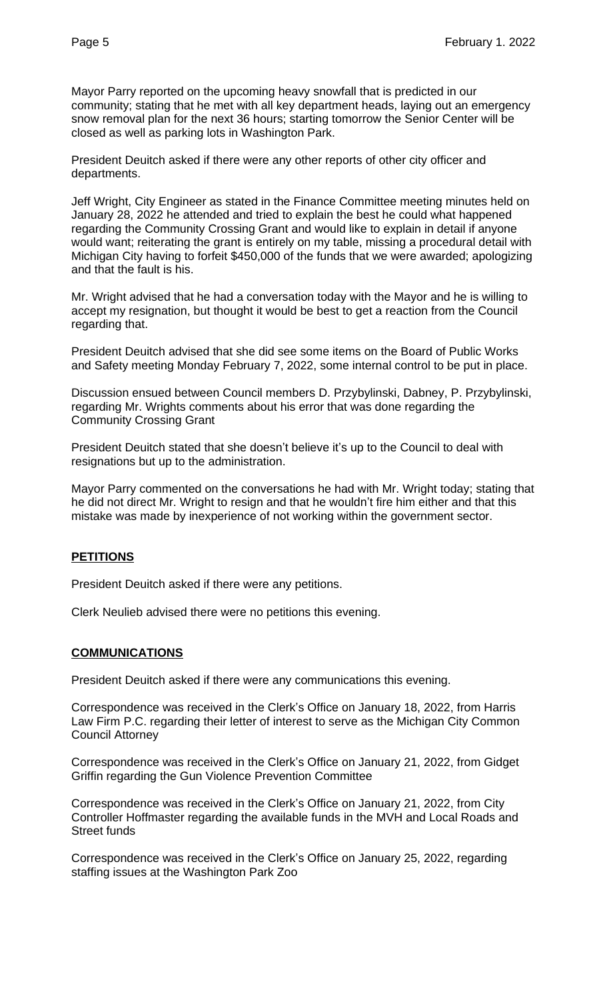Mayor Parry reported on the upcoming heavy snowfall that is predicted in our community; stating that he met with all key department heads, laying out an emergency snow removal plan for the next 36 hours; starting tomorrow the Senior Center will be closed as well as parking lots in Washington Park.

President Deuitch asked if there were any other reports of other city officer and departments.

Jeff Wright, City Engineer as stated in the Finance Committee meeting minutes held on January 28, 2022 he attended and tried to explain the best he could what happened regarding the Community Crossing Grant and would like to explain in detail if anyone would want; reiterating the grant is entirely on my table, missing a procedural detail with Michigan City having to forfeit \$450,000 of the funds that we were awarded; apologizing and that the fault is his.

Mr. Wright advised that he had a conversation today with the Mayor and he is willing to accept my resignation, but thought it would be best to get a reaction from the Council regarding that.

President Deuitch advised that she did see some items on the Board of Public Works and Safety meeting Monday February 7, 2022, some internal control to be put in place.

Discussion ensued between Council members D. Przybylinski, Dabney, P. Przybylinski, regarding Mr. Wrights comments about his error that was done regarding the Community Crossing Grant

President Deuitch stated that she doesn't believe it's up to the Council to deal with resignations but up to the administration.

Mayor Parry commented on the conversations he had with Mr. Wright today; stating that he did not direct Mr. Wright to resign and that he wouldn't fire him either and that this mistake was made by inexperience of not working within the government sector.

## **PETITIONS**

President Deuitch asked if there were any petitions.

Clerk Neulieb advised there were no petitions this evening.

#### **COMMUNICATIONS**

President Deuitch asked if there were any communications this evening.

Correspondence was received in the Clerk's Office on January 18, 2022, from Harris Law Firm P.C. regarding their letter of interest to serve as the Michigan City Common Council Attorney

Correspondence was received in the Clerk's Office on January 21, 2022, from Gidget Griffin regarding the Gun Violence Prevention Committee

Correspondence was received in the Clerk's Office on January 21, 2022, from City Controller Hoffmaster regarding the available funds in the MVH and Local Roads and Street funds

Correspondence was received in the Clerk's Office on January 25, 2022, regarding staffing issues at the Washington Park Zoo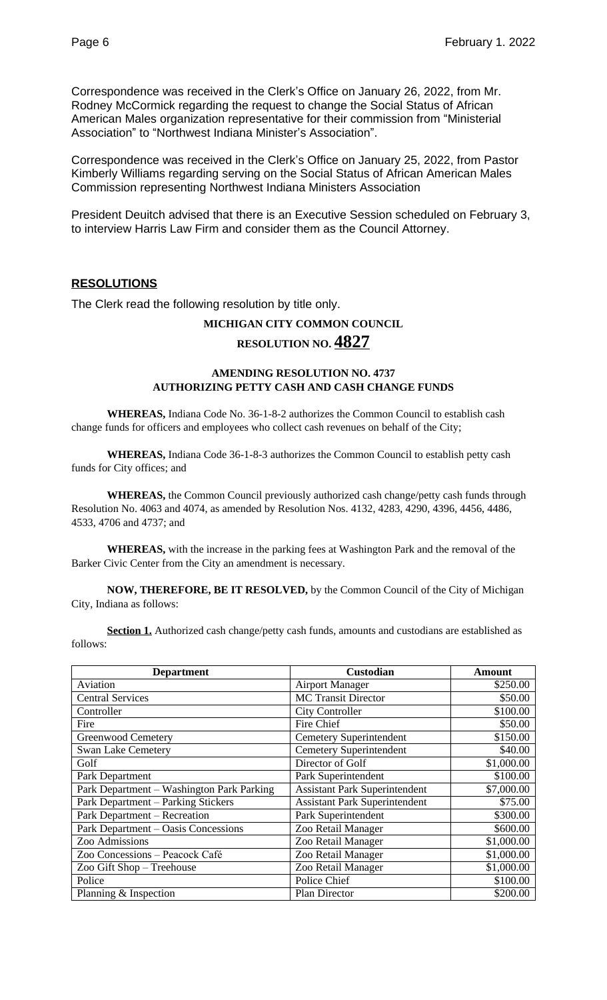Correspondence was received in the Clerk's Office on January 26, 2022, from Mr. Rodney McCormick regarding the request to change the Social Status of African American Males organization representative for their commission from "Ministerial Association" to "Northwest Indiana Minister's Association".

Correspondence was received in the Clerk's Office on January 25, 2022, from Pastor Kimberly Williams regarding serving on the Social Status of African American Males Commission representing Northwest Indiana Ministers Association

President Deuitch advised that there is an Executive Session scheduled on February 3, to interview Harris Law Firm and consider them as the Council Attorney.

#### **RESOLUTIONS**

The Clerk read the following resolution by title only.

### **MICHIGAN CITY COMMON COUNCIL**

# **RESOLUTION NO. 4827**

#### **AMENDING RESOLUTION NO. 4737 AUTHORIZING PETTY CASH AND CASH CHANGE FUNDS**

**WHEREAS,** Indiana Code No. 36-1-8-2 authorizes the Common Council to establish cash change funds for officers and employees who collect cash revenues on behalf of the City;

**WHEREAS,** Indiana Code 36-1-8-3 authorizes the Common Council to establish petty cash funds for City offices; and

**WHEREAS,** the Common Council previously authorized cash change/petty cash funds through Resolution No. 4063 and 4074, as amended by Resolution Nos. 4132, 4283, 4290, 4396, 4456, 4486, 4533, 4706 and 4737; and

**WHEREAS,** with the increase in the parking fees at Washington Park and the removal of the Barker Civic Center from the City an amendment is necessary.

**NOW, THEREFORE, BE IT RESOLVED,** by the Common Council of the City of Michigan City, Indiana as follows:

**Section 1.** Authorized cash change/petty cash funds, amounts and custodians are established as follows:

| <b>Department</b>                         | Custodian                            | Amount     |
|-------------------------------------------|--------------------------------------|------------|
| Aviation                                  | <b>Airport Manager</b>               | \$250.00   |
| <b>Central Services</b>                   | <b>MC Transit Director</b>           | \$50.00    |
| Controller                                | <b>City Controller</b>               | \$100.00   |
| Fire                                      | Fire Chief                           | \$50.00    |
| Greenwood Cemetery                        | <b>Cemetery Superintendent</b>       | \$150.00   |
| <b>Swan Lake Cemetery</b>                 | <b>Cemetery Superintendent</b>       | \$40.00    |
| Golf                                      | Director of Golf                     | \$1,000.00 |
| Park Department                           | Park Superintendent                  | \$100.00   |
| Park Department - Washington Park Parking | <b>Assistant Park Superintendent</b> | \$7,000.00 |
| Park Department - Parking Stickers        | <b>Assistant Park Superintendent</b> | \$75.00    |
| Park Department - Recreation              | Park Superintendent                  | \$300.00   |
| Park Department – Oasis Concessions       | Zoo Retail Manager                   | \$600.00   |
| Zoo Admissions                            | Zoo Retail Manager                   | \$1,000.00 |
| Zoo Concessions - Peacock Café            | Zoo Retail Manager                   | \$1,000.00 |
| Zoo Gift Shop - Treehouse                 | Zoo Retail Manager                   | \$1,000.00 |
| Police                                    | Police Chief                         | \$100.00   |
| Planning & Inspection                     | <b>Plan Director</b>                 | \$200.00   |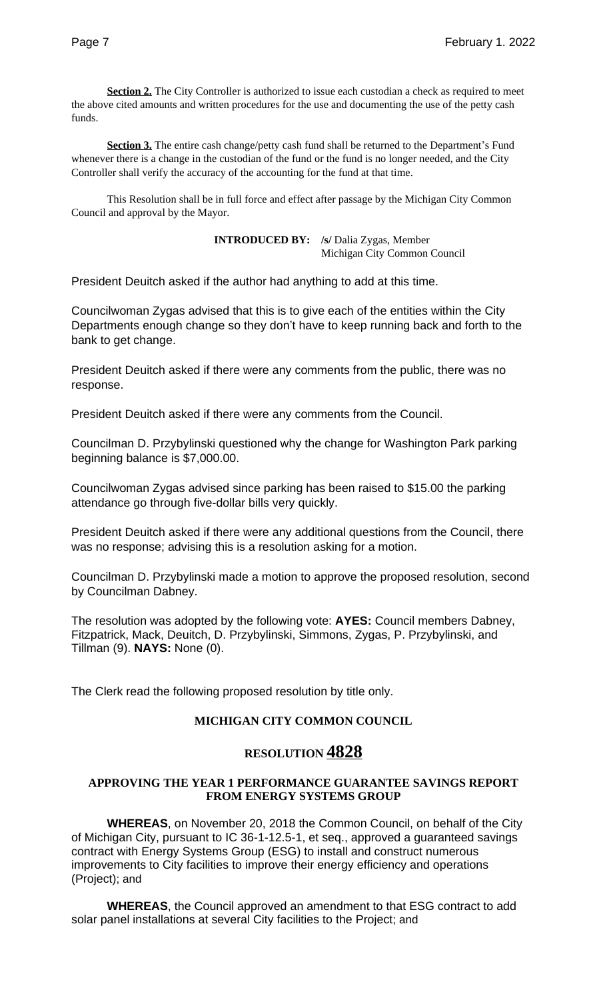**Section 2.** The City Controller is authorized to issue each custodian a check as required to meet the above cited amounts and written procedures for the use and documenting the use of the petty cash funds.

**Section 3.** The entire cash change/petty cash fund shall be returned to the Department's Fund whenever there is a change in the custodian of the fund or the fund is no longer needed, and the City Controller shall verify the accuracy of the accounting for the fund at that time.

This Resolution shall be in full force and effect after passage by the Michigan City Common Council and approval by the Mayor.

> **INTRODUCED BY: /s/** Dalia Zygas, Member Michigan City Common Council

President Deuitch asked if the author had anything to add at this time.

Councilwoman Zygas advised that this is to give each of the entities within the City Departments enough change so they don't have to keep running back and forth to the bank to get change.

President Deuitch asked if there were any comments from the public, there was no response.

President Deuitch asked if there were any comments from the Council.

Councilman D. Przybylinski questioned why the change for Washington Park parking beginning balance is \$7,000.00.

Councilwoman Zygas advised since parking has been raised to \$15.00 the parking attendance go through five-dollar bills very quickly.

President Deuitch asked if there were any additional questions from the Council, there was no response; advising this is a resolution asking for a motion.

Councilman D. Przybylinski made a motion to approve the proposed resolution, second by Councilman Dabney.

The resolution was adopted by the following vote: **AYES:** Council members Dabney, Fitzpatrick, Mack, Deuitch, D. Przybylinski, Simmons, Zygas, P. Przybylinski, and Tillman (9). **NAYS:** None (0).

The Clerk read the following proposed resolution by title only.

## **MICHIGAN CITY COMMON COUNCIL**

# **RESOLUTION 4828**

#### **APPROVING THE YEAR 1 PERFORMANCE GUARANTEE SAVINGS REPORT FROM ENERGY SYSTEMS GROUP**

**WHEREAS**, on November 20, 2018 the Common Council, on behalf of the City of Michigan City, pursuant to IC 36-1-12.5-1, et seq., approved a guaranteed savings contract with Energy Systems Group (ESG) to install and construct numerous improvements to City facilities to improve their energy efficiency and operations (Project); and

**WHEREAS**, the Council approved an amendment to that ESG contract to add solar panel installations at several City facilities to the Project; and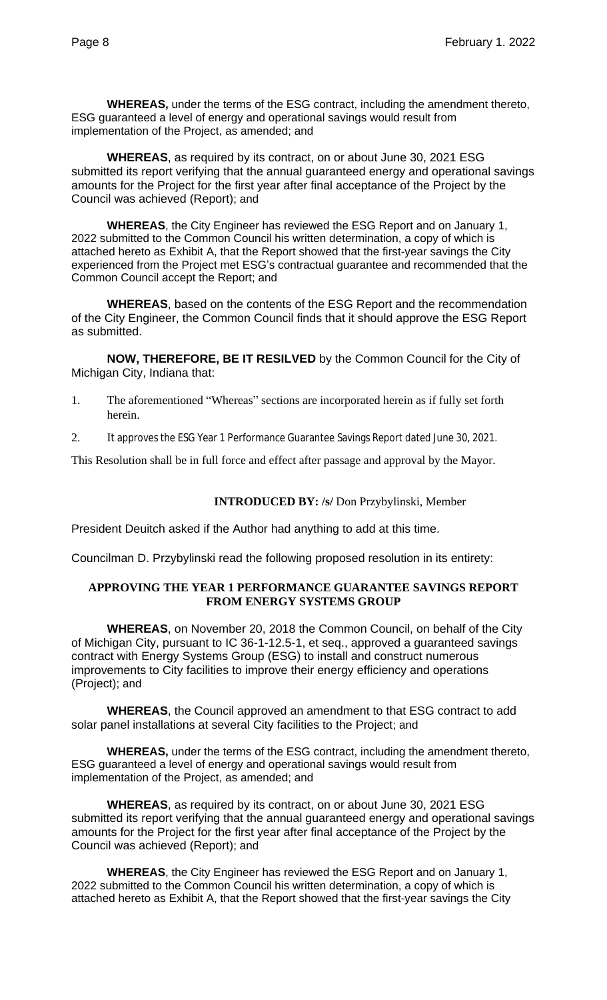**WHEREAS,** under the terms of the ESG contract, including the amendment thereto, ESG guaranteed a level of energy and operational savings would result from implementation of the Project, as amended; and

**WHEREAS**, as required by its contract, on or about June 30, 2021 ESG submitted its report verifying that the annual guaranteed energy and operational savings amounts for the Project for the first year after final acceptance of the Project by the Council was achieved (Report); and

**WHEREAS**, the City Engineer has reviewed the ESG Report and on January 1, 2022 submitted to the Common Council his written determination, a copy of which is attached hereto as Exhibit A, that the Report showed that the first-year savings the City experienced from the Project met ESG's contractual guarantee and recommended that the Common Council accept the Report; and

**WHEREAS**, based on the contents of the ESG Report and the recommendation of the City Engineer, the Common Council finds that it should approve the ESG Report as submitted.

**NOW, THEREFORE, BE IT RESILVED** by the Common Council for the City of Michigan City, Indiana that:

- 1. The aforementioned "Whereas" sections are incorporated herein as if fully set forth herein.
- 2. It approves the ESG Year 1 Performance Guarantee Savings Report dated June 30, 2021.

This Resolution shall be in full force and effect after passage and approval by the Mayor.

#### **INTRODUCED BY: /s/** Don Przybylinski, Member

President Deuitch asked if the Author had anything to add at this time.

Councilman D. Przybylinski read the following proposed resolution in its entirety:

#### **APPROVING THE YEAR 1 PERFORMANCE GUARANTEE SAVINGS REPORT FROM ENERGY SYSTEMS GROUP**

**WHEREAS**, on November 20, 2018 the Common Council, on behalf of the City of Michigan City, pursuant to IC 36-1-12.5-1, et seq., approved a guaranteed savings contract with Energy Systems Group (ESG) to install and construct numerous improvements to City facilities to improve their energy efficiency and operations (Project); and

**WHEREAS**, the Council approved an amendment to that ESG contract to add solar panel installations at several City facilities to the Project; and

**WHEREAS,** under the terms of the ESG contract, including the amendment thereto, ESG guaranteed a level of energy and operational savings would result from implementation of the Project, as amended; and

**WHEREAS**, as required by its contract, on or about June 30, 2021 ESG submitted its report verifying that the annual guaranteed energy and operational savings amounts for the Project for the first year after final acceptance of the Project by the Council was achieved (Report); and

**WHEREAS**, the City Engineer has reviewed the ESG Report and on January 1, 2022 submitted to the Common Council his written determination, a copy of which is attached hereto as Exhibit A, that the Report showed that the first-year savings the City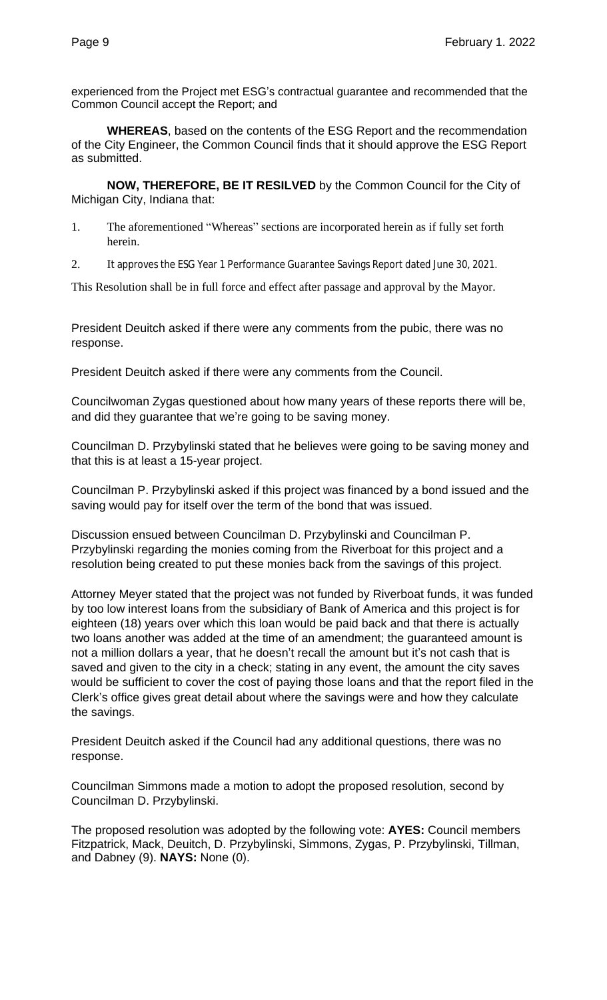experienced from the Project met ESG's contractual guarantee and recommended that the Common Council accept the Report; and

**WHEREAS**, based on the contents of the ESG Report and the recommendation of the City Engineer, the Common Council finds that it should approve the ESG Report as submitted.

**NOW, THEREFORE, BE IT RESILVED** by the Common Council for the City of Michigan City, Indiana that:

- 1. The aforementioned "Whereas" sections are incorporated herein as if fully set forth herein.
- 2. It approves the ESG Year 1 Performance Guarantee Savings Report dated June 30, 2021.

This Resolution shall be in full force and effect after passage and approval by the Mayor.

President Deuitch asked if there were any comments from the pubic, there was no response.

President Deuitch asked if there were any comments from the Council.

Councilwoman Zygas questioned about how many years of these reports there will be, and did they guarantee that we're going to be saving money.

Councilman D. Przybylinski stated that he believes were going to be saving money and that this is at least a 15-year project.

Councilman P. Przybylinski asked if this project was financed by a bond issued and the saving would pay for itself over the term of the bond that was issued.

Discussion ensued between Councilman D. Przybylinski and Councilman P. Przybylinski regarding the monies coming from the Riverboat for this project and a resolution being created to put these monies back from the savings of this project.

Attorney Meyer stated that the project was not funded by Riverboat funds, it was funded by too low interest loans from the subsidiary of Bank of America and this project is for eighteen (18) years over which this loan would be paid back and that there is actually two loans another was added at the time of an amendment; the guaranteed amount is not a million dollars a year, that he doesn't recall the amount but it's not cash that is saved and given to the city in a check; stating in any event, the amount the city saves would be sufficient to cover the cost of paying those loans and that the report filed in the Clerk's office gives great detail about where the savings were and how they calculate the savings.

President Deuitch asked if the Council had any additional questions, there was no response.

Councilman Simmons made a motion to adopt the proposed resolution, second by Councilman D. Przybylinski.

The proposed resolution was adopted by the following vote: **AYES:** Council members Fitzpatrick, Mack, Deuitch, D. Przybylinski, Simmons, Zygas, P. Przybylinski, Tillman, and Dabney (9). **NAYS:** None (0).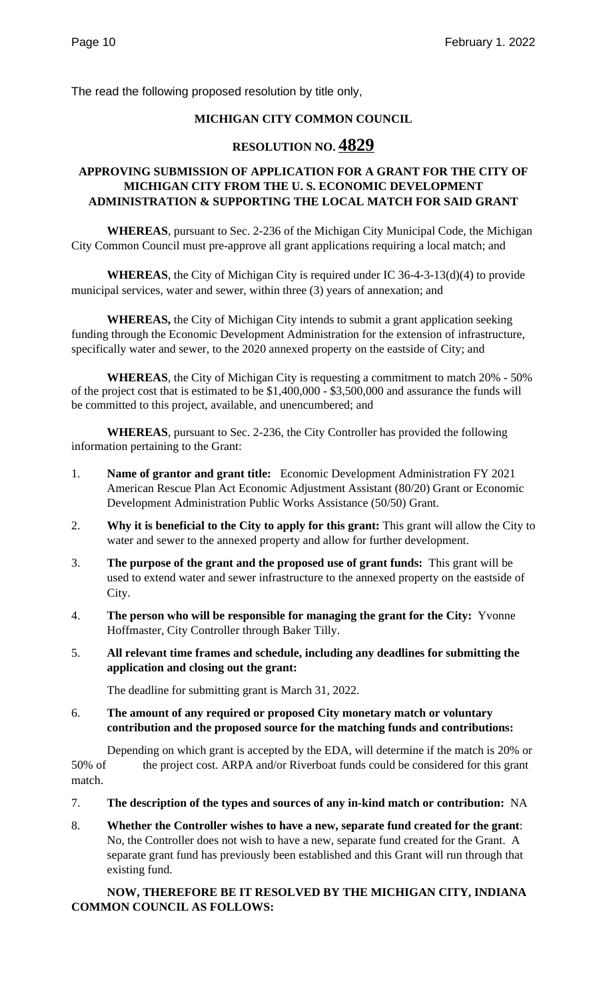The read the following proposed resolution by title only,

## **MICHIGAN CITY COMMON COUNCIL**

# **RESOLUTION NO. 4829**

## **APPROVING SUBMISSION OF APPLICATION FOR A GRANT FOR THE CITY OF MICHIGAN CITY FROM THE U. S. ECONOMIC DEVELOPMENT ADMINISTRATION & SUPPORTING THE LOCAL MATCH FOR SAID GRANT**

**WHEREAS**, pursuant to Sec. 2-236 of the Michigan City Municipal Code, the Michigan City Common Council must pre-approve all grant applications requiring a local match; and

**WHEREAS**, the City of Michigan City is required under IC 36-4-3-13(d)(4) to provide municipal services, water and sewer, within three (3) years of annexation; and

**WHEREAS,** the City of Michigan City intends to submit a grant application seeking funding through the Economic Development Administration for the extension of infrastructure, specifically water and sewer, to the 2020 annexed property on the eastside of City; and

**WHEREAS**, the City of Michigan City is requesting a commitment to match 20% - 50% of the project cost that is estimated to be \$1,400,000 - \$3,500,000 and assurance the funds will be committed to this project, available, and unencumbered; and

**WHEREAS**, pursuant to Sec. 2-236, the City Controller has provided the following information pertaining to the Grant:

- 1. **Name of grantor and grant title:** Economic Development Administration FY 2021 American Rescue Plan Act Economic Adjustment Assistant (80/20) Grant or Economic Development Administration Public Works Assistance (50/50) Grant.
- 2. **Why it is beneficial to the City to apply for this grant:** This grant will allow the City to water and sewer to the annexed property and allow for further development.
- 3. **The purpose of the grant and the proposed use of grant funds:** This grant will be used to extend water and sewer infrastructure to the annexed property on the eastside of City.
- 4. **The person who will be responsible for managing the grant for the City:** Yvonne Hoffmaster, City Controller through Baker Tilly.
- 5. **All relevant time frames and schedule, including any deadlines for submitting the application and closing out the grant:**

The deadline for submitting grant is March 31, 2022.

6. **The amount of any required or proposed City monetary match or voluntary contribution and the proposed source for the matching funds and contributions:** 

Depending on which grant is accepted by the EDA, will determine if the match is 20% or 50% of the project cost. ARPA and/or Riverboat funds could be considered for this grant match.

- 7. **The description of the types and sources of any in-kind match or contribution:** NA
- 8. **Whether the Controller wishes to have a new, separate fund created for the grant**: No, the Controller does not wish to have a new, separate fund created for the Grant. A separate grant fund has previously been established and this Grant will run through that existing fund.

## **NOW, THEREFORE BE IT RESOLVED BY THE MICHIGAN CITY, INDIANA COMMON COUNCIL AS FOLLOWS:**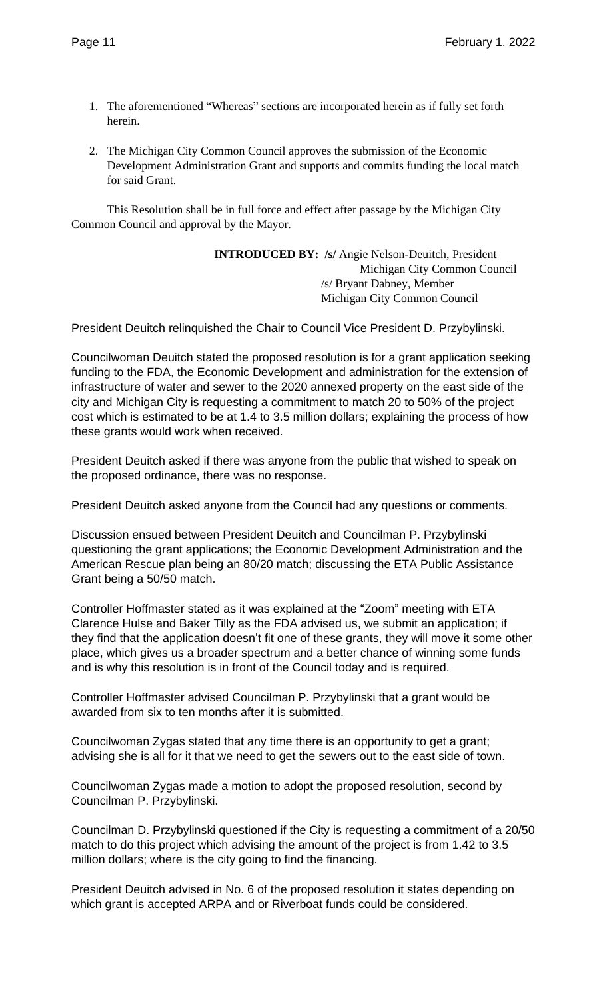- 1. The aforementioned "Whereas" sections are incorporated herein as if fully set forth herein.
- 2. The Michigan City Common Council approves the submission of the Economic Development Administration Grant and supports and commits funding the local match for said Grant.

This Resolution shall be in full force and effect after passage by the Michigan City Common Council and approval by the Mayor.

> **INTRODUCED BY: /s/** Angie Nelson-Deuitch, President Michigan City Common Council /s/ Bryant Dabney, Member Michigan City Common Council

President Deuitch relinquished the Chair to Council Vice President D. Przybylinski.

Councilwoman Deuitch stated the proposed resolution is for a grant application seeking funding to the FDA, the Economic Development and administration for the extension of infrastructure of water and sewer to the 2020 annexed property on the east side of the city and Michigan City is requesting a commitment to match 20 to 50% of the project cost which is estimated to be at 1.4 to 3.5 million dollars; explaining the process of how these grants would work when received.

President Deuitch asked if there was anyone from the public that wished to speak on the proposed ordinance, there was no response.

President Deuitch asked anyone from the Council had any questions or comments.

Discussion ensued between President Deuitch and Councilman P. Przybylinski questioning the grant applications; the Economic Development Administration and the American Rescue plan being an 80/20 match; discussing the ETA Public Assistance Grant being a 50/50 match.

Controller Hoffmaster stated as it was explained at the "Zoom" meeting with ETA Clarence Hulse and Baker Tilly as the FDA advised us, we submit an application; if they find that the application doesn't fit one of these grants, they will move it some other place, which gives us a broader spectrum and a better chance of winning some funds and is why this resolution is in front of the Council today and is required.

Controller Hoffmaster advised Councilman P. Przybylinski that a grant would be awarded from six to ten months after it is submitted.

Councilwoman Zygas stated that any time there is an opportunity to get a grant; advising she is all for it that we need to get the sewers out to the east side of town.

Councilwoman Zygas made a motion to adopt the proposed resolution, second by Councilman P. Przybylinski.

Councilman D. Przybylinski questioned if the City is requesting a commitment of a 20/50 match to do this project which advising the amount of the project is from 1.42 to 3.5 million dollars; where is the city going to find the financing.

President Deuitch advised in No. 6 of the proposed resolution it states depending on which grant is accepted ARPA and or Riverboat funds could be considered.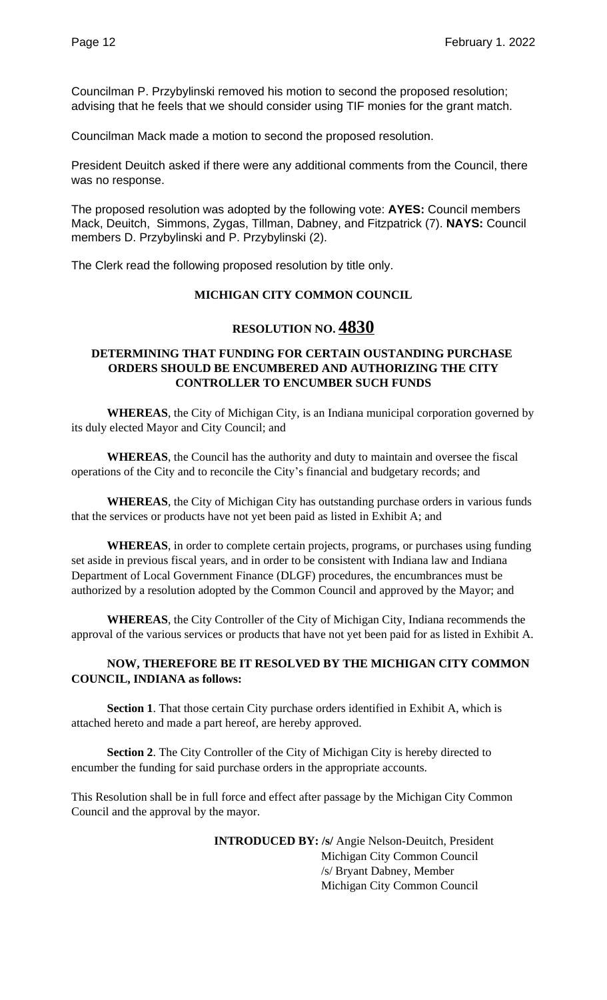Councilman P. Przybylinski removed his motion to second the proposed resolution; advising that he feels that we should consider using TIF monies for the grant match.

Councilman Mack made a motion to second the proposed resolution.

President Deuitch asked if there were any additional comments from the Council, there was no response.

The proposed resolution was adopted by the following vote: **AYES:** Council members Mack, Deuitch, Simmons, Zygas, Tillman, Dabney, and Fitzpatrick (7). **NAYS:** Council members D. Przybylinski and P. Przybylinski (2).

The Clerk read the following proposed resolution by title only.

## **MICHIGAN CITY COMMON COUNCIL**

# **RESOLUTION NO. 4830**

#### **DETERMINING THAT FUNDING FOR CERTAIN OUSTANDING PURCHASE ORDERS SHOULD BE ENCUMBERED AND AUTHORIZING THE CITY CONTROLLER TO ENCUMBER SUCH FUNDS**

**WHEREAS**, the City of Michigan City, is an Indiana municipal corporation governed by its duly elected Mayor and City Council; and

**WHEREAS**, the Council has the authority and duty to maintain and oversee the fiscal operations of the City and to reconcile the City's financial and budgetary records; and

**WHEREAS**, the City of Michigan City has outstanding purchase orders in various funds that the services or products have not yet been paid as listed in Exhibit A; and

**WHEREAS**, in order to complete certain projects, programs, or purchases using funding set aside in previous fiscal years, and in order to be consistent with Indiana law and Indiana Department of Local Government Finance (DLGF) procedures, the encumbrances must be authorized by a resolution adopted by the Common Council and approved by the Mayor; and

**WHEREAS**, the City Controller of the City of Michigan City, Indiana recommends the approval of the various services or products that have not yet been paid for as listed in Exhibit A.

## **NOW, THEREFORE BE IT RESOLVED BY THE MICHIGAN CITY COMMON COUNCIL, INDIANA as follows:**

**Section 1**. That those certain City purchase orders identified in Exhibit A, which is attached hereto and made a part hereof, are hereby approved.

**Section 2**. The City Controller of the City of Michigan City is hereby directed to encumber the funding for said purchase orders in the appropriate accounts.

This Resolution shall be in full force and effect after passage by the Michigan City Common Council and the approval by the mayor.

> **INTRODUCED BY: /s/** Angie Nelson-Deuitch, President Michigan City Common Council /s/ Bryant Dabney, Member Michigan City Common Council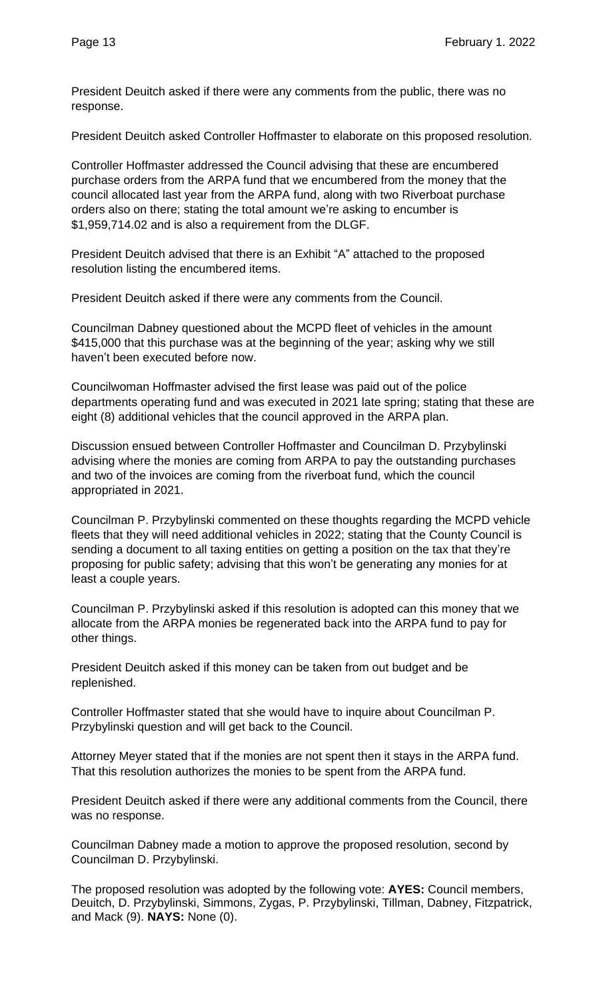President Deuitch asked if there were any comments from the public, there was no response.

President Deuitch asked Controller Hoffmaster to elaborate on this proposed resolution.

Controller Hoffmaster addressed the Council advising that these are encumbered purchase orders from the ARPA fund that we encumbered from the money that the council allocated last year from the ARPA fund, along with two Riverboat purchase orders also on there; stating the total amount we're asking to encumber is \$1,959,714.02 and is also a requirement from the DLGF.

President Deuitch advised that there is an Exhibit "A" attached to the proposed resolution listing the encumbered items.

President Deuitch asked if there were any comments from the Council.

Councilman Dabney questioned about the MCPD fleet of vehicles in the amount \$415,000 that this purchase was at the beginning of the year; asking why we still haven't been executed before now.

Councilwoman Hoffmaster advised the first lease was paid out of the police departments operating fund and was executed in 2021 late spring; stating that these are eight (8) additional vehicles that the council approved in the ARPA plan.

Discussion ensued between Controller Hoffmaster and Councilman D. Przybylinski advising where the monies are coming from ARPA to pay the outstanding purchases and two of the invoices are coming from the riverboat fund, which the council appropriated in 2021.

Councilman P. Przybylinski commented on these thoughts regarding the MCPD vehicle fleets that they will need additional vehicles in 2022; stating that the County Council is sending a document to all taxing entities on getting a position on the tax that they're proposing for public safety; advising that this won't be generating any monies for at least a couple years.

Councilman P. Przybylinski asked if this resolution is adopted can this money that we allocate from the ARPA monies be regenerated back into the ARPA fund to pay for other things.

President Deuitch asked if this money can be taken from out budget and be replenished.

Controller Hoffmaster stated that she would have to inquire about Councilman P. Przybylinski question and will get back to the Council.

Attorney Meyer stated that if the monies are not spent then it stays in the ARPA fund. That this resolution authorizes the monies to be spent from the ARPA fund.

President Deuitch asked if there were any additional comments from the Council, there was no response.

Councilman Dabney made a motion to approve the proposed resolution, second by Councilman D. Przybylinski.

The proposed resolution was adopted by the following vote: **AYES:** Council members, Deuitch, D. Przybylinski, Simmons, Zygas, P. Przybylinski, Tillman, Dabney, Fitzpatrick, and Mack (9). **NAYS:** None (0).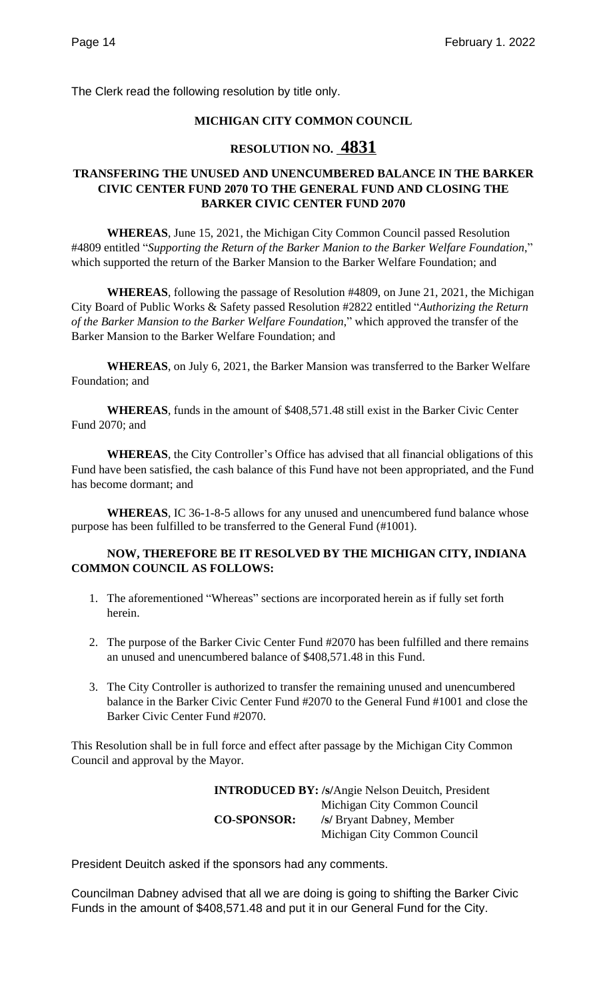The Clerk read the following resolution by title only.

## **MICHIGAN CITY COMMON COUNCIL**

# **RESOLUTION NO. 4831**

## **TRANSFERING THE UNUSED AND UNENCUMBERED BALANCE IN THE BARKER CIVIC CENTER FUND 2070 TO THE GENERAL FUND AND CLOSING THE BARKER CIVIC CENTER FUND 2070**

**WHEREAS**, June 15, 2021, the Michigan City Common Council passed Resolution #4809 entitled "*Supporting the Return of the Barker Manion to the Barker Welfare Foundation*," which supported the return of the Barker Mansion to the Barker Welfare Foundation; and

**WHEREAS**, following the passage of Resolution #4809, on June 21, 2021, the Michigan City Board of Public Works & Safety passed Resolution #2822 entitled "*Authorizing the Return of the Barker Mansion to the Barker Welfare Foundation*," which approved the transfer of the Barker Mansion to the Barker Welfare Foundation; and

**WHEREAS**, on July 6, 2021, the Barker Mansion was transferred to the Barker Welfare Foundation; and

**WHEREAS**, funds in the amount of \$408,571.48 still exist in the Barker Civic Center Fund 2070; and

**WHEREAS**, the City Controller's Office has advised that all financial obligations of this Fund have been satisfied, the cash balance of this Fund have not been appropriated, and the Fund has become dormant; and

**WHEREAS**, IC 36-1-8-5 allows for any unused and unencumbered fund balance whose purpose has been fulfilled to be transferred to the General Fund (#1001).

## **NOW, THEREFORE BE IT RESOLVED BY THE MICHIGAN CITY, INDIANA COMMON COUNCIL AS FOLLOWS:**

- 1. The aforementioned "Whereas" sections are incorporated herein as if fully set forth herein.
- 2. The purpose of the Barker Civic Center Fund #2070 has been fulfilled and there remains an unused and unencumbered balance of \$408,571.48 in this Fund.
- 3. The City Controller is authorized to transfer the remaining unused and unencumbered balance in the Barker Civic Center Fund #2070 to the General Fund #1001 and close the Barker Civic Center Fund #2070.

This Resolution shall be in full force and effect after passage by the Michigan City Common Council and approval by the Mayor.

> **INTRODUCED BY: /s/**Angie Nelson Deuitch, President Michigan City Common Council **CO-SPONSOR: /s/** Bryant Dabney, Member Michigan City Common Council

President Deuitch asked if the sponsors had any comments.

Councilman Dabney advised that all we are doing is going to shifting the Barker Civic Funds in the amount of \$408,571.48 and put it in our General Fund for the City.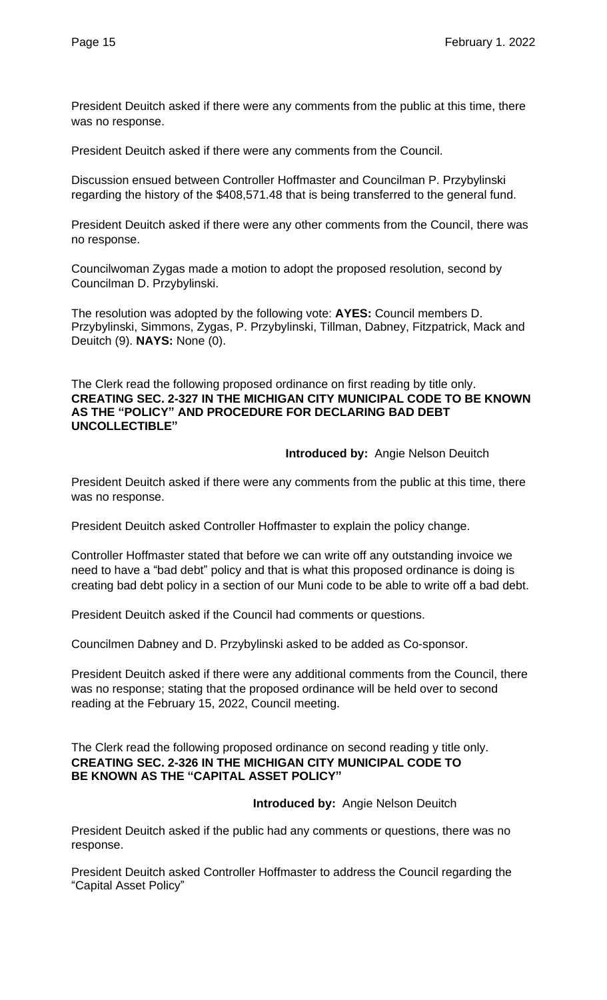President Deuitch asked if there were any comments from the public at this time, there was no response.

President Deuitch asked if there were any comments from the Council.

Discussion ensued between Controller Hoffmaster and Councilman P. Przybylinski regarding the history of the \$408,571.48 that is being transferred to the general fund.

President Deuitch asked if there were any other comments from the Council, there was no response.

Councilwoman Zygas made a motion to adopt the proposed resolution, second by Councilman D. Przybylinski.

The resolution was adopted by the following vote: **AYES:** Council members D. Przybylinski, Simmons, Zygas, P. Przybylinski, Tillman, Dabney, Fitzpatrick, Mack and Deuitch (9). **NAYS:** None (0).

The Clerk read the following proposed ordinance on first reading by title only. **CREATING SEC. 2-327 IN THE MICHIGAN CITY MUNICIPAL CODE TO BE KNOWN AS THE "POLICY" AND PROCEDURE FOR DECLARING BAD DEBT UNCOLLECTIBLE"**

**Introduced by:** Angie Nelson Deuitch

President Deuitch asked if there were any comments from the public at this time, there was no response.

President Deuitch asked Controller Hoffmaster to explain the policy change.

Controller Hoffmaster stated that before we can write off any outstanding invoice we need to have a "bad debt" policy and that is what this proposed ordinance is doing is creating bad debt policy in a section of our Muni code to be able to write off a bad debt.

President Deuitch asked if the Council had comments or questions.

Councilmen Dabney and D. Przybylinski asked to be added as Co-sponsor.

President Deuitch asked if there were any additional comments from the Council, there was no response; stating that the proposed ordinance will be held over to second reading at the February 15, 2022, Council meeting.

The Clerk read the following proposed ordinance on second reading y title only. **CREATING SEC. 2-326 IN THE MICHIGAN CITY MUNICIPAL CODE TO BE KNOWN AS THE "CAPITAL ASSET POLICY"**

 **Introduced by:** Angie Nelson Deuitch

President Deuitch asked if the public had any comments or questions, there was no response.

President Deuitch asked Controller Hoffmaster to address the Council regarding the "Capital Asset Policy"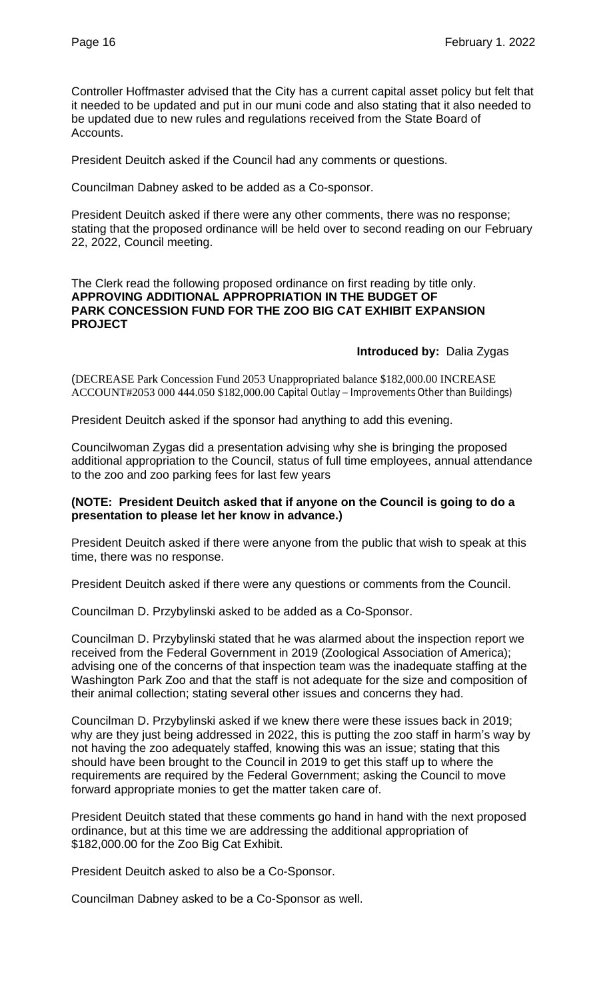Controller Hoffmaster advised that the City has a current capital asset policy but felt that it needed to be updated and put in our muni code and also stating that it also needed to be updated due to new rules and regulations received from the State Board of Accounts.

President Deuitch asked if the Council had any comments or questions.

Councilman Dabney asked to be added as a Co-sponsor.

President Deuitch asked if there were any other comments, there was no response; stating that the proposed ordinance will be held over to second reading on our February 22, 2022, Council meeting.

#### The Clerk read the following proposed ordinance on first reading by title only. **APPROVING ADDITIONAL APPROPRIATION IN THE BUDGET OF PARK CONCESSION FUND FOR THE ZOO BIG CAT EXHIBIT EXPANSION PROJECT**

#### **Introduced by:** Dalia Zygas

(DECREASE Park Concession Fund 2053 Unappropriated balance \$182,000.00 INCREASE ACCOUNT#2053 000 444.050 \$182,000.00 Capital Outlay – Improvements Other than Buildings)

President Deuitch asked if the sponsor had anything to add this evening.

Councilwoman Zygas did a presentation advising why she is bringing the proposed additional appropriation to the Council, status of full time employees, annual attendance to the zoo and zoo parking fees for last few years

#### **(NOTE: President Deuitch asked that if anyone on the Council is going to do a presentation to please let her know in advance.)**

President Deuitch asked if there were anyone from the public that wish to speak at this time, there was no response.

President Deuitch asked if there were any questions or comments from the Council.

Councilman D. Przybylinski asked to be added as a Co-Sponsor.

Councilman D. Przybylinski stated that he was alarmed about the inspection report we received from the Federal Government in 2019 (Zoological Association of America); advising one of the concerns of that inspection team was the inadequate staffing at the Washington Park Zoo and that the staff is not adequate for the size and composition of their animal collection; stating several other issues and concerns they had.

Councilman D. Przybylinski asked if we knew there were these issues back in 2019; why are they just being addressed in 2022, this is putting the zoo staff in harm's way by not having the zoo adequately staffed, knowing this was an issue; stating that this should have been brought to the Council in 2019 to get this staff up to where the requirements are required by the Federal Government; asking the Council to move forward appropriate monies to get the matter taken care of.

President Deuitch stated that these comments go hand in hand with the next proposed ordinance, but at this time we are addressing the additional appropriation of \$182,000.00 for the Zoo Big Cat Exhibit.

President Deuitch asked to also be a Co-Sponsor.

Councilman Dabney asked to be a Co-Sponsor as well.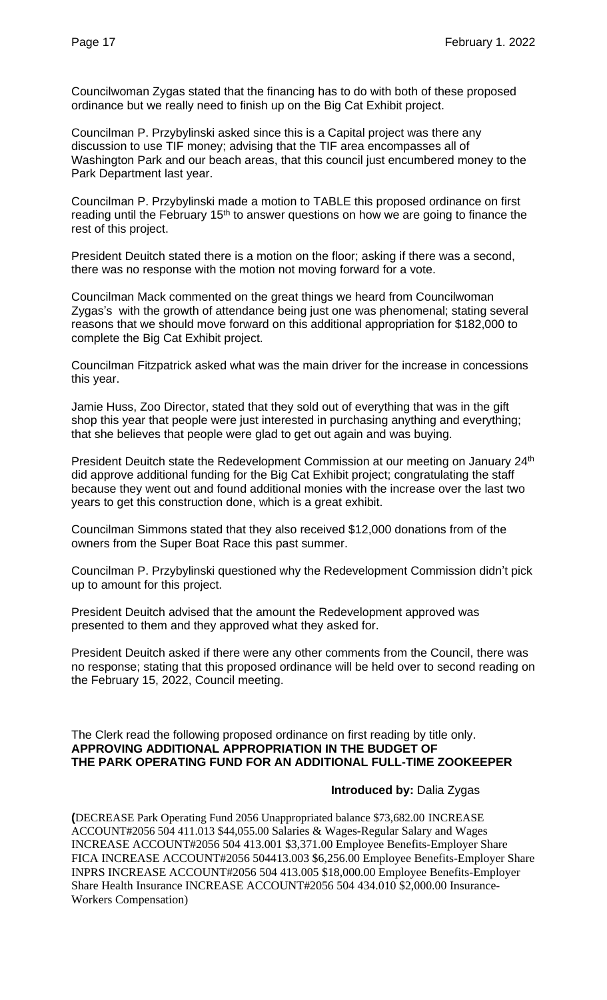Councilwoman Zygas stated that the financing has to do with both of these proposed ordinance but we really need to finish up on the Big Cat Exhibit project.

Councilman P. Przybylinski asked since this is a Capital project was there any discussion to use TIF money; advising that the TIF area encompasses all of Washington Park and our beach areas, that this council just encumbered money to the Park Department last year.

Councilman P. Przybylinski made a motion to TABLE this proposed ordinance on first reading until the February 15<sup>th</sup> to answer questions on how we are going to finance the rest of this project.

President Deuitch stated there is a motion on the floor; asking if there was a second, there was no response with the motion not moving forward for a vote.

Councilman Mack commented on the great things we heard from Councilwoman Zygas's with the growth of attendance being just one was phenomenal; stating several reasons that we should move forward on this additional appropriation for \$182,000 to complete the Big Cat Exhibit project.

Councilman Fitzpatrick asked what was the main driver for the increase in concessions this year.

Jamie Huss, Zoo Director, stated that they sold out of everything that was in the gift shop this year that people were just interested in purchasing anything and everything; that she believes that people were glad to get out again and was buying.

President Deuitch state the Redevelopment Commission at our meeting on January 24<sup>th</sup> did approve additional funding for the Big Cat Exhibit project; congratulating the staff because they went out and found additional monies with the increase over the last two years to get this construction done, which is a great exhibit.

Councilman Simmons stated that they also received \$12,000 donations from of the owners from the Super Boat Race this past summer.

Councilman P. Przybylinski questioned why the Redevelopment Commission didn't pick up to amount for this project.

President Deuitch advised that the amount the Redevelopment approved was presented to them and they approved what they asked for.

President Deuitch asked if there were any other comments from the Council, there was no response; stating that this proposed ordinance will be held over to second reading on the February 15, 2022, Council meeting.

#### The Clerk read the following proposed ordinance on first reading by title only. **APPROVING ADDITIONAL APPROPRIATION IN THE BUDGET OF THE PARK OPERATING FUND FOR AN ADDITIONAL FULL-TIME ZOOKEEPER**

## **Introduced by:** Dalia Zygas

**(**DECREASE Park Operating Fund 2056 Unappropriated balance \$73,682.00 INCREASE ACCOUNT#2056 504 411.013 \$44,055.00 Salaries & Wages-Regular Salary and Wages INCREASE ACCOUNT#2056 504 413.001 \$3,371.00 Employee Benefits-Employer Share FICA INCREASE ACCOUNT#2056 504413.003 \$6,256.00 Employee Benefits-Employer Share INPRS INCREASE ACCOUNT#2056 504 413.005 \$18,000.00 Employee Benefits-Employer Share Health Insurance INCREASE ACCOUNT#2056 504 434.010 \$2,000.00 Insurance-Workers Compensation)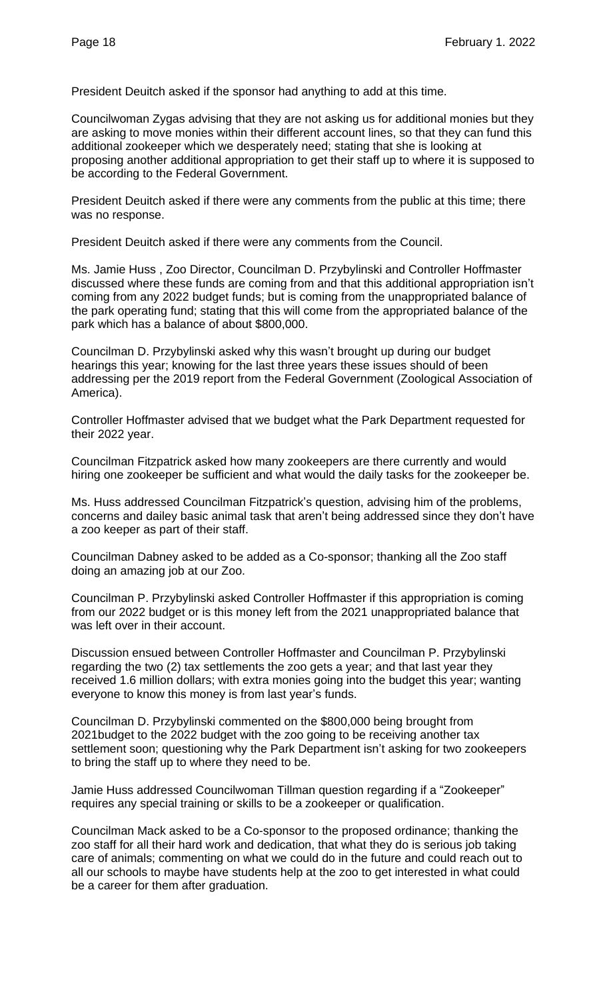President Deuitch asked if the sponsor had anything to add at this time.

Councilwoman Zygas advising that they are not asking us for additional monies but they are asking to move monies within their different account lines, so that they can fund this additional zookeeper which we desperately need; stating that she is looking at proposing another additional appropriation to get their staff up to where it is supposed to be according to the Federal Government.

President Deuitch asked if there were any comments from the public at this time; there was no response.

President Deuitch asked if there were any comments from the Council.

Ms. Jamie Huss , Zoo Director, Councilman D. Przybylinski and Controller Hoffmaster discussed where these funds are coming from and that this additional appropriation isn't coming from any 2022 budget funds; but is coming from the unappropriated balance of the park operating fund; stating that this will come from the appropriated balance of the park which has a balance of about \$800,000.

Councilman D. Przybylinski asked why this wasn't brought up during our budget hearings this year; knowing for the last three years these issues should of been addressing per the 2019 report from the Federal Government (Zoological Association of America).

Controller Hoffmaster advised that we budget what the Park Department requested for their 2022 year.

Councilman Fitzpatrick asked how many zookeepers are there currently and would hiring one zookeeper be sufficient and what would the daily tasks for the zookeeper be.

Ms. Huss addressed Councilman Fitzpatrick's question, advising him of the problems, concerns and dailey basic animal task that aren't being addressed since they don't have a zoo keeper as part of their staff.

Councilman Dabney asked to be added as a Co-sponsor; thanking all the Zoo staff doing an amazing job at our Zoo.

Councilman P. Przybylinski asked Controller Hoffmaster if this appropriation is coming from our 2022 budget or is this money left from the 2021 unappropriated balance that was left over in their account.

Discussion ensued between Controller Hoffmaster and Councilman P. Przybylinski regarding the two (2) tax settlements the zoo gets a year; and that last year they received 1.6 million dollars; with extra monies going into the budget this year; wanting everyone to know this money is from last year's funds.

Councilman D. Przybylinski commented on the \$800,000 being brought from 2021budget to the 2022 budget with the zoo going to be receiving another tax settlement soon; questioning why the Park Department isn't asking for two zookeepers to bring the staff up to where they need to be.

Jamie Huss addressed Councilwoman Tillman question regarding if a "Zookeeper" requires any special training or skills to be a zookeeper or qualification.

Councilman Mack asked to be a Co-sponsor to the proposed ordinance; thanking the zoo staff for all their hard work and dedication, that what they do is serious job taking care of animals; commenting on what we could do in the future and could reach out to all our schools to maybe have students help at the zoo to get interested in what could be a career for them after graduation.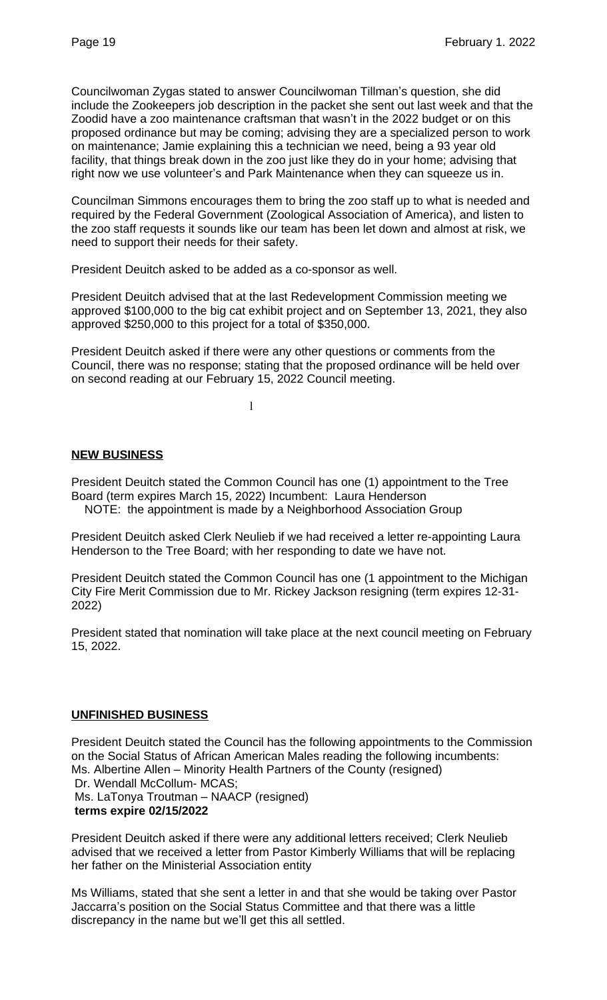Councilwoman Zygas stated to answer Councilwoman Tillman's question, she did include the Zookeepers job description in the packet she sent out last week and that the Zoodid have a zoo maintenance craftsman that wasn't in the 2022 budget or on this proposed ordinance but may be coming; advising they are a specialized person to work on maintenance; Jamie explaining this a technician we need, being a 93 year old facility, that things break down in the zoo just like they do in your home; advising that right now we use volunteer's and Park Maintenance when they can squeeze us in.

Councilman Simmons encourages them to bring the zoo staff up to what is needed and required by the Federal Government (Zoological Association of America), and listen to the zoo staff requests it sounds like our team has been let down and almost at risk, we need to support their needs for their safety.

President Deuitch asked to be added as a co-sponsor as well.

President Deuitch advised that at the last Redevelopment Commission meeting we approved \$100,000 to the big cat exhibit project and on September 13, 2021, they also approved \$250,000 to this project for a total of \$350,000.

President Deuitch asked if there were any other questions or comments from the Council, there was no response; stating that the proposed ordinance will be held over on second reading at our February 15, 2022 Council meeting.

l

#### **NEW BUSINESS**

President Deuitch stated the Common Council has one (1) appointment to the Tree Board (term expires March 15, 2022) Incumbent: Laura Henderson NOTE: the appointment is made by a Neighborhood Association Group

President Deuitch asked Clerk Neulieb if we had received a letter re-appointing Laura Henderson to the Tree Board; with her responding to date we have not.

President Deuitch stated the Common Council has one (1 appointment to the Michigan City Fire Merit Commission due to Mr. Rickey Jackson resigning (term expires 12-31- 2022)

President stated that nomination will take place at the next council meeting on February 15, 2022.

## **UNFINISHED BUSINESS**

President Deuitch stated the Council has the following appointments to the Commission on the Social Status of African American Males reading the following incumbents: Ms. Albertine Allen – Minority Health Partners of the County (resigned) Dr. Wendall McCollum- MCAS; Ms. LaTonya Troutman – NAACP (resigned)  **terms expire 02/15/2022**

President Deuitch asked if there were any additional letters received; Clerk Neulieb advised that we received a letter from Pastor Kimberly Williams that will be replacing her father on the Ministerial Association entity

Ms Williams, stated that she sent a letter in and that she would be taking over Pastor Jaccarra's position on the Social Status Committee and that there was a little discrepancy in the name but we'll get this all settled.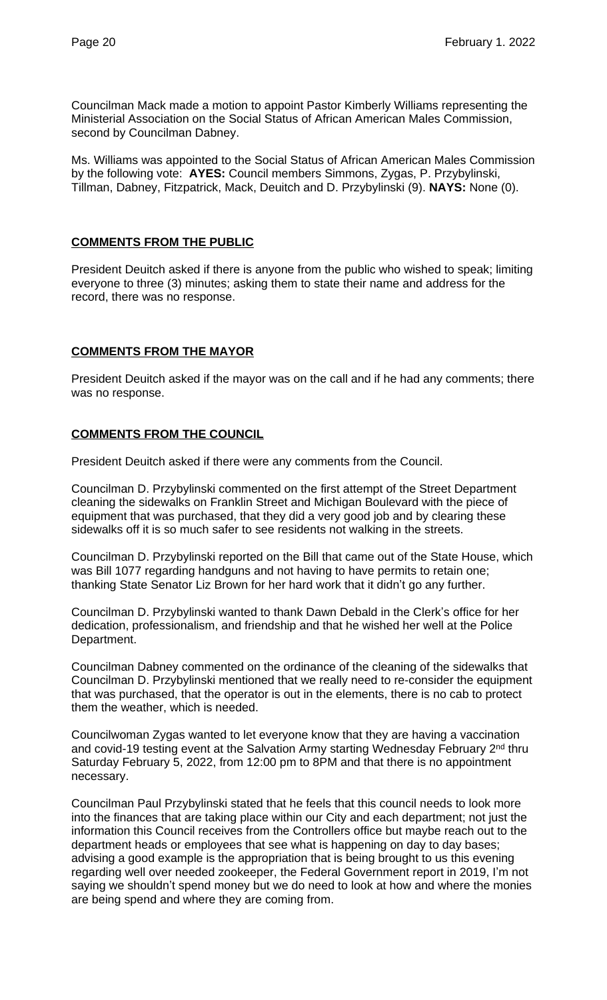Councilman Mack made a motion to appoint Pastor Kimberly Williams representing the Ministerial Association on the Social Status of African American Males Commission, second by Councilman Dabney.

Ms. Williams was appointed to the Social Status of African American Males Commission by the following vote: **AYES:** Council members Simmons, Zygas, P. Przybylinski, Tillman, Dabney, Fitzpatrick, Mack, Deuitch and D. Przybylinski (9). **NAYS:** None (0).

#### **COMMENTS FROM THE PUBLIC**

President Deuitch asked if there is anyone from the public who wished to speak; limiting everyone to three (3) minutes; asking them to state their name and address for the record, there was no response.

## **COMMENTS FROM THE MAYOR**

President Deuitch asked if the mayor was on the call and if he had any comments; there was no response.

#### **COMMENTS FROM THE COUNCIL**

President Deuitch asked if there were any comments from the Council.

Councilman D. Przybylinski commented on the first attempt of the Street Department cleaning the sidewalks on Franklin Street and Michigan Boulevard with the piece of equipment that was purchased, that they did a very good job and by clearing these sidewalks off it is so much safer to see residents not walking in the streets.

Councilman D. Przybylinski reported on the Bill that came out of the State House, which was Bill 1077 regarding handguns and not having to have permits to retain one; thanking State Senator Liz Brown for her hard work that it didn't go any further.

Councilman D. Przybylinski wanted to thank Dawn Debald in the Clerk's office for her dedication, professionalism, and friendship and that he wished her well at the Police Department.

Councilman Dabney commented on the ordinance of the cleaning of the sidewalks that Councilman D. Przybylinski mentioned that we really need to re-consider the equipment that was purchased, that the operator is out in the elements, there is no cab to protect them the weather, which is needed.

Councilwoman Zygas wanted to let everyone know that they are having a vaccination and covid-19 testing event at the Salvation Army starting Wednesday February 2<sup>nd</sup> thru Saturday February 5, 2022, from 12:00 pm to 8PM and that there is no appointment necessary.

Councilman Paul Przybylinski stated that he feels that this council needs to look more into the finances that are taking place within our City and each department; not just the information this Council receives from the Controllers office but maybe reach out to the department heads or employees that see what is happening on day to day bases; advising a good example is the appropriation that is being brought to us this evening regarding well over needed zookeeper, the Federal Government report in 2019, I'm not saying we shouldn't spend money but we do need to look at how and where the monies are being spend and where they are coming from.